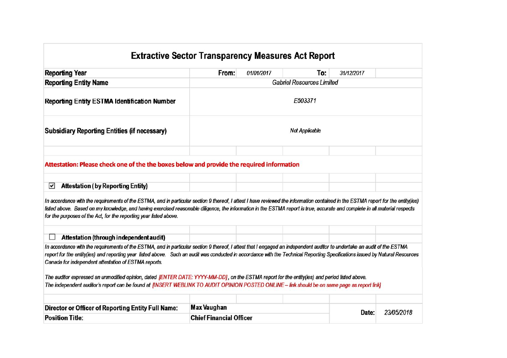## **Extractive Sector Transparency Measures Act Report**

| From:                                                                                     | 01/01/2017 |         |            |                                                                                                                                                                                                                                                                                                                                                                                                                                                                                                                                                                                                                                                                                                                                                                                                                                                                                                                                                                                                                                          |  |  |  |  |  |  |
|-------------------------------------------------------------------------------------------|------------|---------|------------|------------------------------------------------------------------------------------------------------------------------------------------------------------------------------------------------------------------------------------------------------------------------------------------------------------------------------------------------------------------------------------------------------------------------------------------------------------------------------------------------------------------------------------------------------------------------------------------------------------------------------------------------------------------------------------------------------------------------------------------------------------------------------------------------------------------------------------------------------------------------------------------------------------------------------------------------------------------------------------------------------------------------------------------|--|--|--|--|--|--|
|                                                                                           |            | To:     | 31/12/2017 |                                                                                                                                                                                                                                                                                                                                                                                                                                                                                                                                                                                                                                                                                                                                                                                                                                                                                                                                                                                                                                          |  |  |  |  |  |  |
| <b>Gabriel Resources Limited</b>                                                          |            |         |            |                                                                                                                                                                                                                                                                                                                                                                                                                                                                                                                                                                                                                                                                                                                                                                                                                                                                                                                                                                                                                                          |  |  |  |  |  |  |
|                                                                                           |            | E503371 |            |                                                                                                                                                                                                                                                                                                                                                                                                                                                                                                                                                                                                                                                                                                                                                                                                                                                                                                                                                                                                                                          |  |  |  |  |  |  |
| <b>Not Applicable</b>                                                                     |            |         |            |                                                                                                                                                                                                                                                                                                                                                                                                                                                                                                                                                                                                                                                                                                                                                                                                                                                                                                                                                                                                                                          |  |  |  |  |  |  |
|                                                                                           |            |         |            |                                                                                                                                                                                                                                                                                                                                                                                                                                                                                                                                                                                                                                                                                                                                                                                                                                                                                                                                                                                                                                          |  |  |  |  |  |  |
| Attestation: Please check one of the the boxes below and provide the required information |            |         |            |                                                                                                                                                                                                                                                                                                                                                                                                                                                                                                                                                                                                                                                                                                                                                                                                                                                                                                                                                                                                                                          |  |  |  |  |  |  |
|                                                                                           |            |         |            |                                                                                                                                                                                                                                                                                                                                                                                                                                                                                                                                                                                                                                                                                                                                                                                                                                                                                                                                                                                                                                          |  |  |  |  |  |  |
|                                                                                           |            |         |            |                                                                                                                                                                                                                                                                                                                                                                                                                                                                                                                                                                                                                                                                                                                                                                                                                                                                                                                                                                                                                                          |  |  |  |  |  |  |
|                                                                                           |            |         |            |                                                                                                                                                                                                                                                                                                                                                                                                                                                                                                                                                                                                                                                                                                                                                                                                                                                                                                                                                                                                                                          |  |  |  |  |  |  |
|                                                                                           |            |         |            |                                                                                                                                                                                                                                                                                                                                                                                                                                                                                                                                                                                                                                                                                                                                                                                                                                                                                                                                                                                                                                          |  |  |  |  |  |  |
|                                                                                           |            |         |            |                                                                                                                                                                                                                                                                                                                                                                                                                                                                                                                                                                                                                                                                                                                                                                                                                                                                                                                                                                                                                                          |  |  |  |  |  |  |
| <b>Max Vaughan</b>                                                                        |            |         |            |                                                                                                                                                                                                                                                                                                                                                                                                                                                                                                                                                                                                                                                                                                                                                                                                                                                                                                                                                                                                                                          |  |  |  |  |  |  |
| <b>Chief Financial Officer</b>                                                            |            |         |            | 23/05/2018                                                                                                                                                                                                                                                                                                                                                                                                                                                                                                                                                                                                                                                                                                                                                                                                                                                                                                                                                                                                                               |  |  |  |  |  |  |
|                                                                                           |            |         |            | In accordance with the requirements of the ESTMA, and in particular section 9 thereof, I attest I have reviewed the information contained in the ESTMA report for the entity(ies)<br>listed above. Based on my knowledge, and having exercised reasonable diligence, the information in the ESTMA report is true, accurate and complete in all material respects<br>In accordance with the requirements of the ESTMA, and in particular section 9 thereof, I attest that I engaged an independent auditor to undertake an audit of the ESTMA<br>report for the entity(ies) and reporting year listed above. Such an audit was conducted in accordance with the Technical Reporting Specifications issued by Natural Resources<br>The auditor expressed an unmodified opinion, dated [ENTER DATE: YYYY-MM-DD], on the ESTMA report for the entity(ies) and period listed above.<br>The independent auditor's report can be found at [INSERT WEBLINK TO AUDIT OPINION POSTED ONLINE - link should be on same page as report link]<br>Date: |  |  |  |  |  |  |